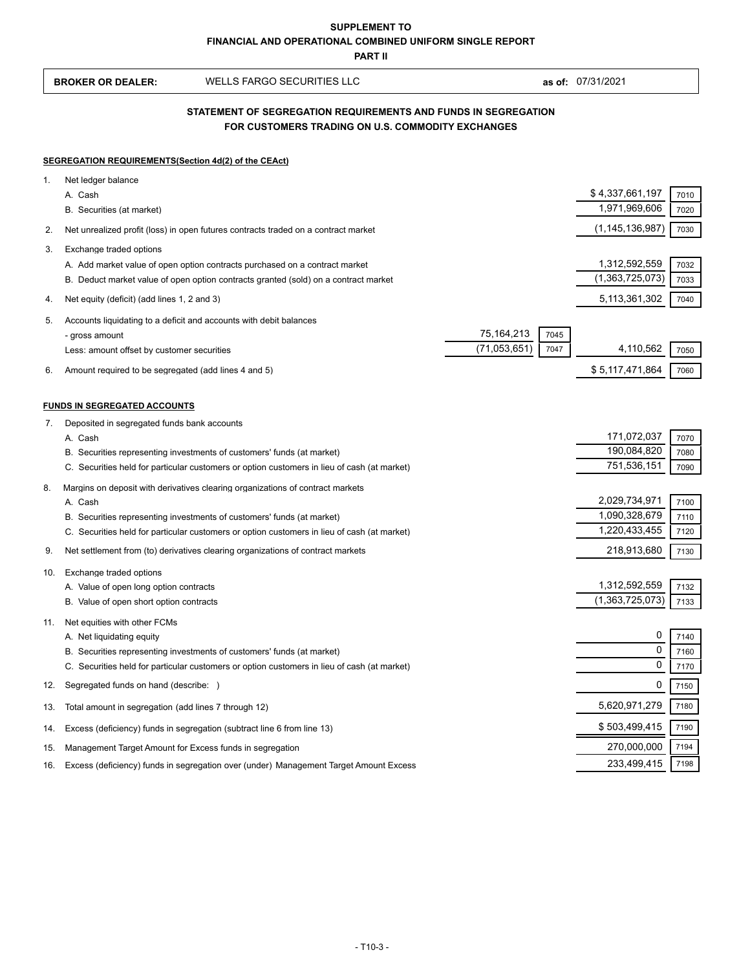**BROKER OR DEALER:** WELLS FARGO SECURITIES LLC **as of:** 07/31/2021

## **FOR CUSTOMERS TRADING ON U.S. COMMODITY EXCHANGES STATEMENT OF SEGREGATION REQUIREMENTS AND FUNDS IN SEGREGATION**

#### **SEGREGATION REQUIREMENTS(Section 4d(2) of the CEAct)**

| 1.  | Net ledger balance                                                                          |      |                            |              |
|-----|---------------------------------------------------------------------------------------------|------|----------------------------|--------------|
|     | A. Cash                                                                                     |      | \$4,337,661,197            | 7010         |
|     | B. Securities (at market)                                                                   |      | 1,971,969,606              | 7020         |
| 2.  | Net unrealized profit (loss) in open futures contracts traded on a contract market          |      | (1,145,136,987)            | 7030         |
| 3.  | Exchange traded options                                                                     |      |                            |              |
|     | A. Add market value of open option contracts purchased on a contract market                 |      | 1,312,592,559              | 7032         |
|     | B. Deduct market value of open option contracts granted (sold) on a contract market         |      | (1,363,725,073)            | 7033         |
| 4.  | Net equity (deficit) (add lines 1, 2 and 3)                                                 |      | 5,113,361,302              | 7040         |
| 5.  | Accounts liquidating to a deficit and accounts with debit balances                          |      |                            |              |
|     | 75,164,213<br>- gross amount                                                                | 7045 |                            |              |
|     | (71, 053, 651)<br>Less: amount offset by customer securities                                | 7047 | 4,110,562                  | 7050         |
| 6.  | Amount required to be segregated (add lines 4 and 5)                                        |      | \$5,117,471,864            | 7060         |
|     |                                                                                             |      |                            |              |
|     | FUNDS IN SEGREGATED ACCOUNTS                                                                |      |                            |              |
| 7.  | Deposited in segregated funds bank accounts                                                 |      |                            |              |
|     | A. Cash<br>B. Securities representing investments of customers' funds (at market)           |      | 171,072,037<br>190,084,820 | 7070<br>7080 |
|     | C. Securities held for particular customers or option customers in lieu of cash (at market) |      | 751,536,151                | 7090         |
|     |                                                                                             |      |                            |              |
| 8.  | Margins on deposit with derivatives clearing organizations of contract markets<br>A. Cash   |      | 2,029,734,971              | 7100         |
|     | B. Securities representing investments of customers' funds (at market)                      |      | 1,090,328,679              | 7110         |
|     | C. Securities held for particular customers or option customers in lieu of cash (at market) |      | 1,220,433,455              | 7120         |
| 9.  | Net settlement from (to) derivatives clearing organizations of contract markets             |      | 218,913,680                | 7130         |
| 10. | Exchange traded options                                                                     |      |                            |              |
|     | A. Value of open long option contracts                                                      |      | 1,312,592,559              | 7132         |
|     | B. Value of open short option contracts                                                     |      | (1,363,725,073)            | 7133         |
| 11. | Net equities with other FCMs                                                                |      |                            |              |
|     | A. Net liquidating equity                                                                   |      | 0                          | 7140         |
|     | B. Securities representing investments of customers' funds (at market)                      |      | $\mathbf 0$                | 7160         |
|     | C. Securities held for particular customers or option customers in lieu of cash (at market) |      | $\mathbf 0$                | 7170         |
| 12. | Segregated funds on hand (describe: )                                                       |      | 0                          | 7150         |
| 13. | Total amount in segregation (add lines 7 through 12)                                        |      | 5,620,971,279              | 7180         |
| 14. | Excess (deficiency) funds in segregation (subtract line 6 from line 13)                     |      | \$503,499,415              | 7190         |
| 15. | Management Target Amount for Excess funds in segregation                                    |      | 270,000,000                | 7194         |
| 16. | Excess (deficiency) funds in segregation over (under) Management Target Amount Excess       |      | 233,499,415                | 7198         |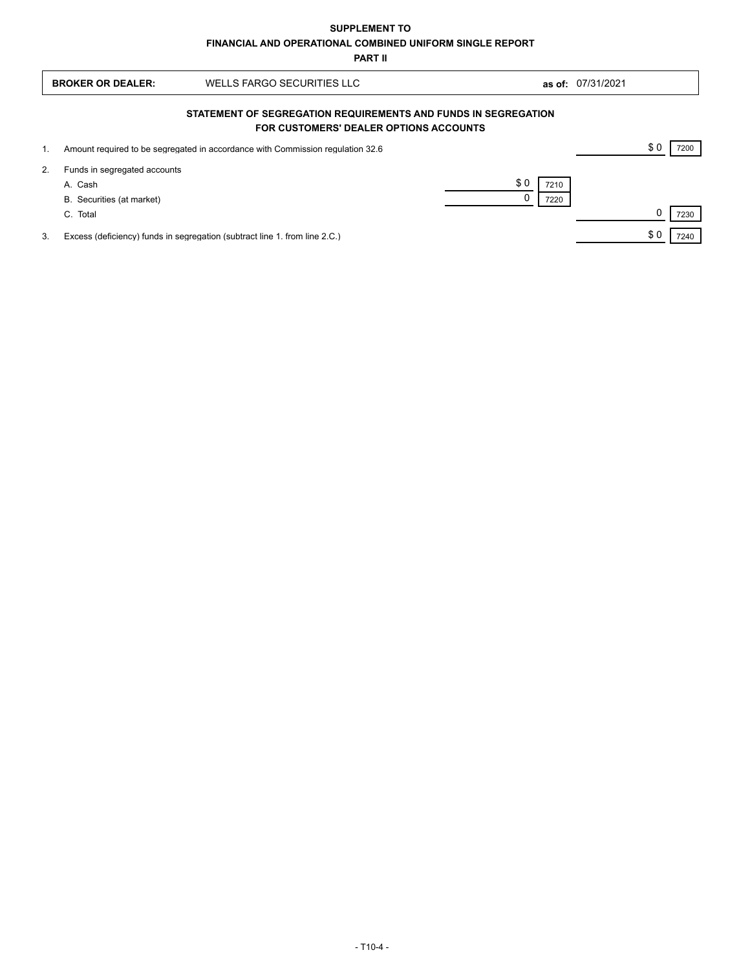| <b>BROKER OR DEALER:</b> |                                                                                  | WELLS FARGO SECURITIES LLC                                                                               |                     | as of: 07/31/2021 |      |
|--------------------------|----------------------------------------------------------------------------------|----------------------------------------------------------------------------------------------------------|---------------------|-------------------|------|
|                          |                                                                                  | STATEMENT OF SEGREGATION REQUIREMENTS AND FUNDS IN SEGREGATION<br>FOR CUSTOMERS' DEALER OPTIONS ACCOUNTS |                     |                   |      |
| 1 <sub>1</sub>           |                                                                                  | Amount required to be segregated in accordance with Commission regulation 32.6                           |                     |                   | 7200 |
| 2.                       | Funds in segregated accounts<br>A. Cash<br>B. Securities (at market)<br>C. Total |                                                                                                          | \$0<br>7210<br>7220 |                   | 7230 |
| 3.                       |                                                                                  | Excess (deficiency) funds in segregation (subtract line 1. from line 2.C.)                               |                     |                   | 7240 |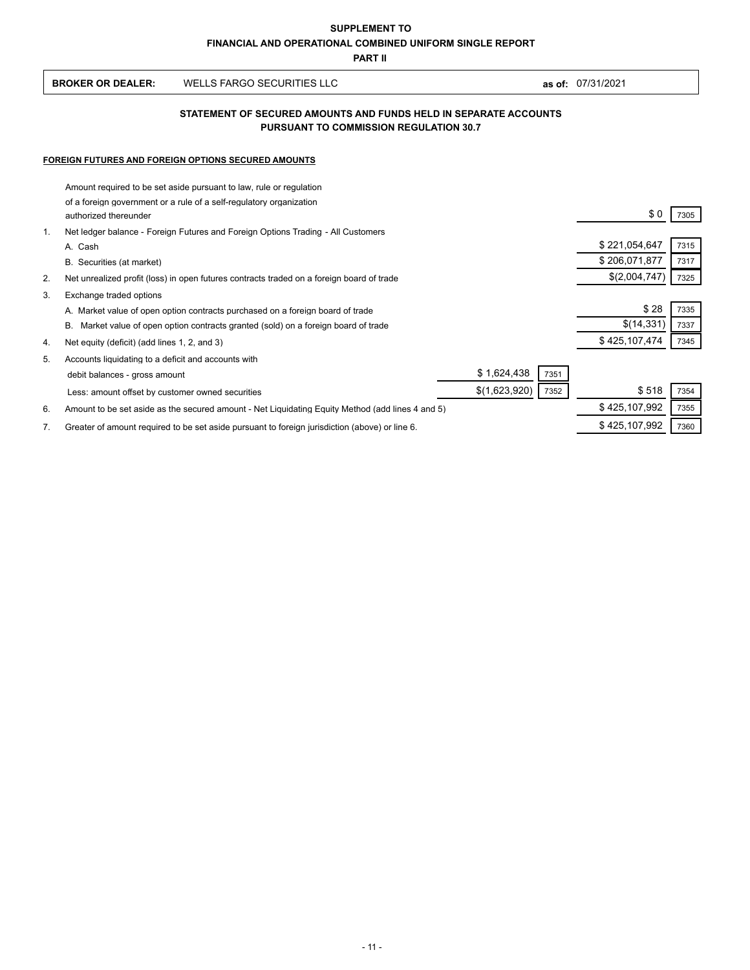| <b>BROKER OR DEALER:</b> | WELLS FARGO SECURITIES LLC | as of: 07/31/2021 |
|--------------------------|----------------------------|-------------------|
|--------------------------|----------------------------|-------------------|

## **PURSUANT TO COMMISSION REGULATION 30.7 STATEMENT OF SECURED AMOUNTS AND FUNDS HELD IN SEPARATE ACCOUNTS**

### **FOREIGN FUTURES AND FOREIGN OPTIONS SECURED AMOUNTS**

 $\overline{1}$ 

|    | Amount required to be set aside pursuant to law, rule or regulation                              |               |      |
|----|--------------------------------------------------------------------------------------------------|---------------|------|
|    | of a foreign government or a rule of a self-regulatory organization<br>authorized thereunder     | \$0           | 7305 |
| 1. | Net ledger balance - Foreign Futures and Foreign Options Trading - All Customers                 |               |      |
|    | A. Cash                                                                                          | \$221,054,647 | 7315 |
|    | B. Securities (at market)                                                                        | \$206,071,877 | 7317 |
| 2. | Net unrealized profit (loss) in open futures contracts traded on a foreign board of trade        | \$(2,004,747) | 7325 |
| 3. | Exchange traded options                                                                          |               |      |
|    | A. Market value of open option contracts purchased on a foreign board of trade                   | \$28          | 7335 |
|    | В.<br>Market value of open option contracts granted (sold) on a foreign board of trade           | \$(14,331)    | 7337 |
| 4. | Net equity (deficit) (add lines 1, 2, and 3)                                                     | \$425,107,474 | 7345 |
| 5. | Accounts liquidating to a deficit and accounts with                                              |               |      |
|    | \$1,624,438<br>7351<br>debit balances - gross amount                                             |               |      |
|    | \$(1,623,920)<br>7352<br>Less: amount offset by customer owned securities                        | \$518         | 7354 |
| 6. | Amount to be set aside as the secured amount - Net Liquidating Equity Method (add lines 4 and 5) | \$425,107,992 | 7355 |
| 7. | Greater of amount required to be set aside pursuant to foreign jurisdiction (above) or line 6.   | \$425,107,992 | 7360 |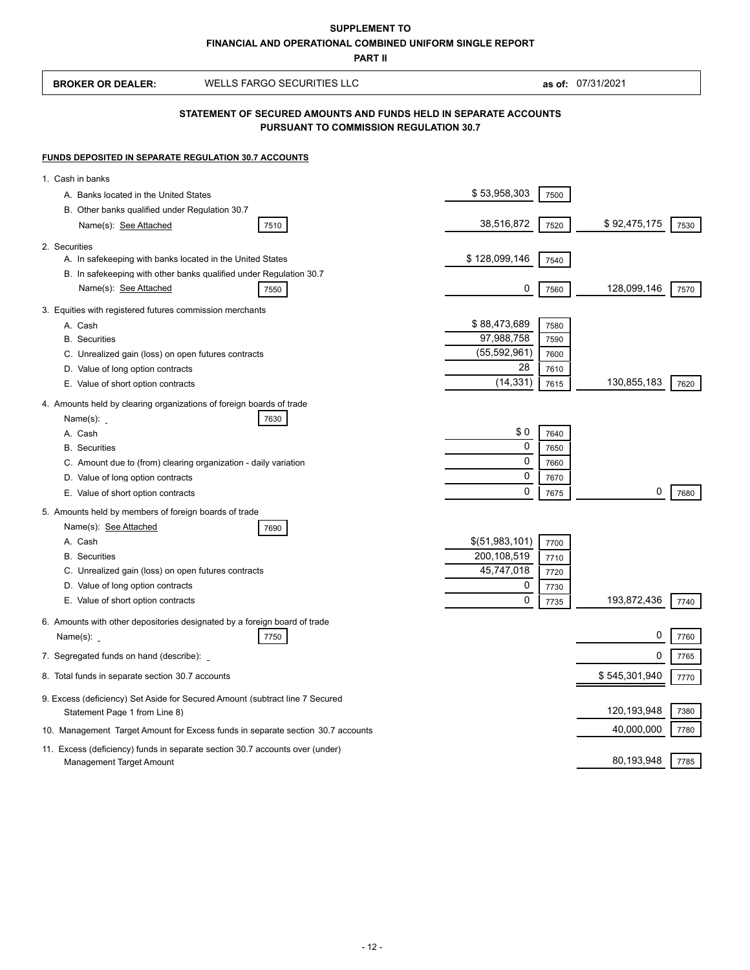# **FINANCIAL AND OPERATIONAL COMBINED UNIFORM SINGLE REPORT SUPPLEMENT TO**

**PART II**

| <b>BROKER OR DEALER:</b>                                                                                                                                                                             | <b>WELLS FARGO SECURITIES LLC</b>                                                 |                                                       |                                      | as of: 07/31/2021 |      |  |
|------------------------------------------------------------------------------------------------------------------------------------------------------------------------------------------------------|-----------------------------------------------------------------------------------|-------------------------------------------------------|--------------------------------------|-------------------|------|--|
| STATEMENT OF SECURED AMOUNTS AND FUNDS HELD IN SEPARATE ACCOUNTS<br><b>PURSUANT TO COMMISSION REGULATION 30.7</b>                                                                                    |                                                                                   |                                                       |                                      |                   |      |  |
| <b>FUNDS DEPOSITED IN SEPARATE REGULATION 30.7 ACCOUNTS</b>                                                                                                                                          |                                                                                   |                                                       |                                      |                   |      |  |
| 1. Cash in banks                                                                                                                                                                                     |                                                                                   |                                                       |                                      |                   |      |  |
| A. Banks located in the United States                                                                                                                                                                |                                                                                   | \$53,958,303                                          | 7500                                 |                   |      |  |
| B. Other banks qualified under Regulation 30.7                                                                                                                                                       |                                                                                   |                                                       |                                      |                   |      |  |
| Name(s): See Attached                                                                                                                                                                                | 7510                                                                              | 38,516,872                                            | 7520                                 | \$92,475,175      | 7530 |  |
| 2. Securities                                                                                                                                                                                        |                                                                                   |                                                       |                                      |                   |      |  |
| A. In safekeeping with banks located in the United States                                                                                                                                            |                                                                                   | \$128,099,146                                         | 7540                                 |                   |      |  |
|                                                                                                                                                                                                      | B. In safekeeping with other banks qualified under Regulation 30.7                | 0                                                     |                                      | 128,099,146       |      |  |
| Name(s): See Attached                                                                                                                                                                                | 7550                                                                              |                                                       | 7560                                 |                   | 7570 |  |
| 3. Equities with registered futures commission merchants                                                                                                                                             |                                                                                   | \$88,473,689                                          |                                      |                   |      |  |
| A. Cash<br><b>B.</b> Securities                                                                                                                                                                      |                                                                                   | 97,988,758                                            | 7580<br>7590                         |                   |      |  |
| C. Unrealized gain (loss) on open futures contracts                                                                                                                                                  |                                                                                   | (55, 592, 961)                                        | 7600                                 |                   |      |  |
| D. Value of long option contracts                                                                                                                                                                    |                                                                                   | 28                                                    | 7610                                 |                   |      |  |
| E. Value of short option contracts                                                                                                                                                                   |                                                                                   | (14, 331)                                             | 7615                                 | 130,855,183       | 7620 |  |
| 4. Amounts held by clearing organizations of foreign boards of trade<br>Name $(s)$ : _<br>A. Cash<br><b>B.</b> Securities<br>D. Value of long option contracts<br>E. Value of short option contracts | 7630<br>C. Amount due to (from) clearing organization - daily variation           | \$0<br>0<br>0<br>0<br>0                               | 7640<br>7650<br>7660<br>7670<br>7675 | 0                 | 7680 |  |
| 5. Amounts held by members of foreign boards of trade                                                                                                                                                |                                                                                   |                                                       |                                      |                   |      |  |
| Name(s): See Attached<br>A. Cash<br><b>B.</b> Securities<br>C. Unrealized gain (loss) on open futures contracts<br>D. Value of long option contracts<br>E. Value of short option contracts           | 7690                                                                              | \$(51,983,101)<br>200,108,519<br>45,747,018<br>0<br>0 | 7700<br>7710<br>7720<br>7730<br>7735 | 193,872,436       | 7740 |  |
| Name(s): <b>_</b>                                                                                                                                                                                    | 6. Amounts with other depositories designated by a foreign board of trade<br>7750 |                                                       |                                      | 0                 | 7760 |  |
| 7. Segregated funds on hand (describe):                                                                                                                                                              |                                                                                   |                                                       |                                      | 0                 | 7765 |  |
| 8. Total funds in separate section 30.7 accounts                                                                                                                                                     |                                                                                   |                                                       |                                      | \$545,301,940     | 7770 |  |
| Statement Page 1 from Line 8)                                                                                                                                                                        | 9. Excess (deficiency) Set Aside for Secured Amount (subtract line 7 Secured      |                                                       |                                      | 120,193,948       | 7380 |  |
|                                                                                                                                                                                                      | 10. Management Target Amount for Excess funds in separate section 30.7 accounts   |                                                       |                                      | 40,000,000        | 7780 |  |
| <b>Management Target Amount</b>                                                                                                                                                                      | 11. Excess (deficiency) funds in separate section 30.7 accounts over (under)      |                                                       |                                      | 80,193,948        | 7785 |  |